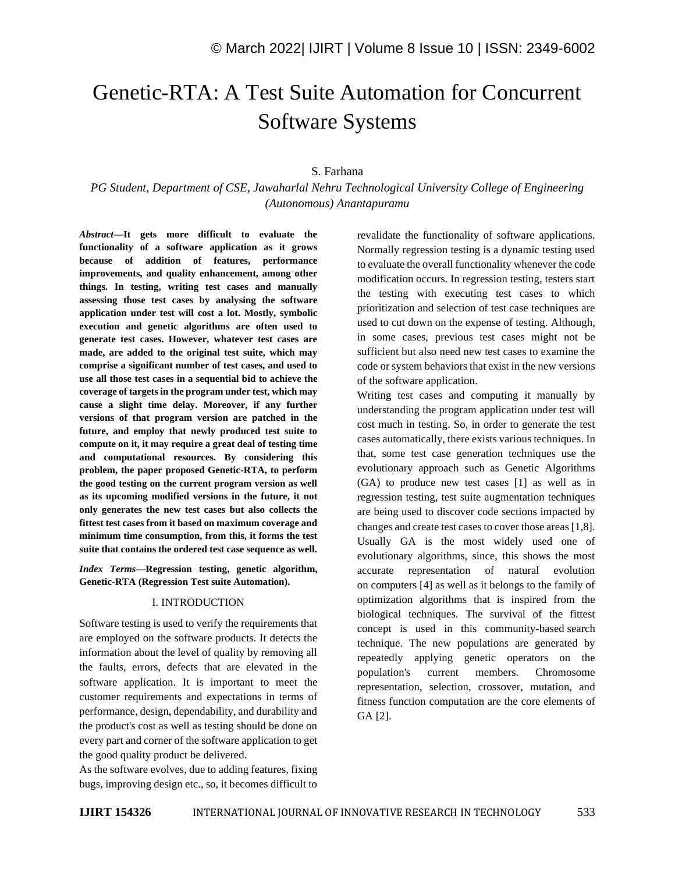# Genetic-RTA: A Test Suite Automation for Concurrent Software Systems

# S. Farhana

*PG Student, Department of CSE, Jawaharlal Nehru Technological University College of Engineering (Autonomous) Anantapuramu*

*Abstract—***It gets more difficult to evaluate the functionality of a software application as it grows because of addition of features, performance improvements, and quality enhancement, among other things. In testing, writing test cases and manually assessing those test cases by analysing the software application under test will cost a lot. Mostly, symbolic execution and genetic algorithms are often used to generate test cases. However, whatever test cases are made, are added to the original test suite, which may comprise a significant number of test cases, and used to use all those test cases in a sequential bid to achieve the coverage of targets in the program under test, which may cause a slight time delay. Moreover, if any further versions of that program version are patched in the future, and employ that newly produced test suite to compute on it, it may require a great deal of testing time and computational resources. By considering this problem, the paper proposed Genetic-RTA, to perform the good testing on the current program version as well as its upcoming modified versions in the future, it not only generates the new test cases but also collects the fittest test cases from it based on maximum coverage and minimum time consumption, from this, it forms the test suite that contains the ordered test case sequence as well.**

*Index Terms—***Regression testing, genetic algorithm, Genetic-RTA (Regression Test suite Automation).**

#### I. INTRODUCTION

Software testing is used to verify the requirements that are employed on the software products. It detects the information about the level of quality by removing all the faults, errors, defects that are elevated in the software application. It is important to meet the customer requirements and expectations in terms of performance, design, dependability, and durability and the product's cost as well as testing should be done on every part and corner of the software application to get the good quality product be delivered.

As the software evolves, due to adding features, fixing bugs, improving design etc., so, it becomes difficult to revalidate the functionality of software applications. Normally regression testing is a dynamic testing used to evaluate the overall functionality whenever the code modification occurs. In regression testing, testers start the testing with executing test cases to which prioritization and selection of test case techniques are used to cut down on the expense of testing. Although, in some cases, previous test cases might not be sufficient but also need new test cases to examine the code or system behaviors that exist in the new versions of the software application.

Writing test cases and computing it manually by understanding the program application under test will cost much in testing. So, in order to generate the test cases automatically, there exists various techniques. In that, some test case generation techniques use the evolutionary approach such as Genetic Algorithms (GA) to produce new test cases [1] as well as in regression testing, test suite augmentation techniques are being used to discover code sections impacted by changes and create test cases to cover those areas [1,8]. Usually GA is the most widely used one of evolutionary algorithms, since, this shows the most accurate representation of natural evolution on computers [4] as well as it belongs to the family of optimization algorithms that is inspired from the biological techniques. The survival of the fittest concept is used in this community-based search technique. The new populations are generated by repeatedly applying genetic operators on the population's current members. Chromosome representation, selection, crossover, mutation, and fitness function computation are the core elements of GA [2].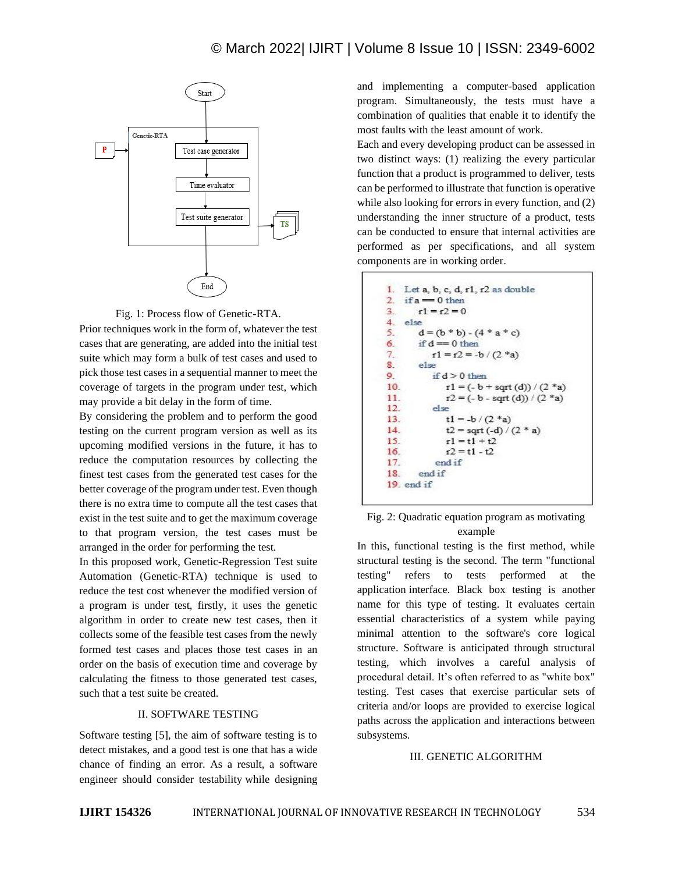

Fig. 1: Process flow of Genetic-RTA.

Prior techniques work in the form of, whatever the test cases that are generating, are added into the initial test suite which may form a bulk of test cases and used to pick those test cases in a sequential manner to meet the coverage of targets in the program under test, which may provide a bit delay in the form of time.

By considering the problem and to perform the good testing on the current program version as well as its upcoming modified versions in the future, it has to reduce the computation resources by collecting the finest test cases from the generated test cases for the better coverage of the program under test. Even though there is no extra time to compute all the test cases that exist in the test suite and to get the maximum coverage to that program version, the test cases must be arranged in the order for performing the test.

In this proposed work, Genetic-Regression Test suite Automation (Genetic-RTA) technique is used to reduce the test cost whenever the modified version of a program is under test, firstly, it uses the genetic algorithm in order to create new test cases, then it collects some of the feasible test cases from the newly formed test cases and places those test cases in an order on the basis of execution time and coverage by calculating the fitness to those generated test cases, such that a test suite be created.

# II. SOFTWARE TESTING

Software testing [5], the aim of software testing is to detect mistakes, and a good test is one that has a wide chance of finding an error. As a result, a software engineer should consider testability while designing and implementing a computer-based application program. Simultaneously, the tests must have a combination of qualities that enable it to identify the most faults with the least amount of work.

Each and every developing product can be assessed in two distinct ways: (1) realizing the every particular function that a product is programmed to deliver, tests can be performed to illustrate that function is operative while also looking for errors in every function, and (2) understanding the inner structure of a product, tests can be conducted to ensure that internal activities are performed as per specifications, and all system components are in working order.



# Fig. 2: Quadratic equation program as motivating example

In this, functional testing is the first method, while structural testing is the second. The term "functional testing" refers to tests performed at the application interface. Black box testing is another name for this type of testing. It evaluates certain essential characteristics of a system while paying minimal attention to the software's core logical structure. Software is anticipated through structural testing, which involves a careful analysis of procedural detail. It's often referred to as "white box" testing. Test cases that exercise particular sets of criteria and/or loops are provided to exercise logical paths across the application and interactions between subsystems.

# III. GENETIC ALGORITHM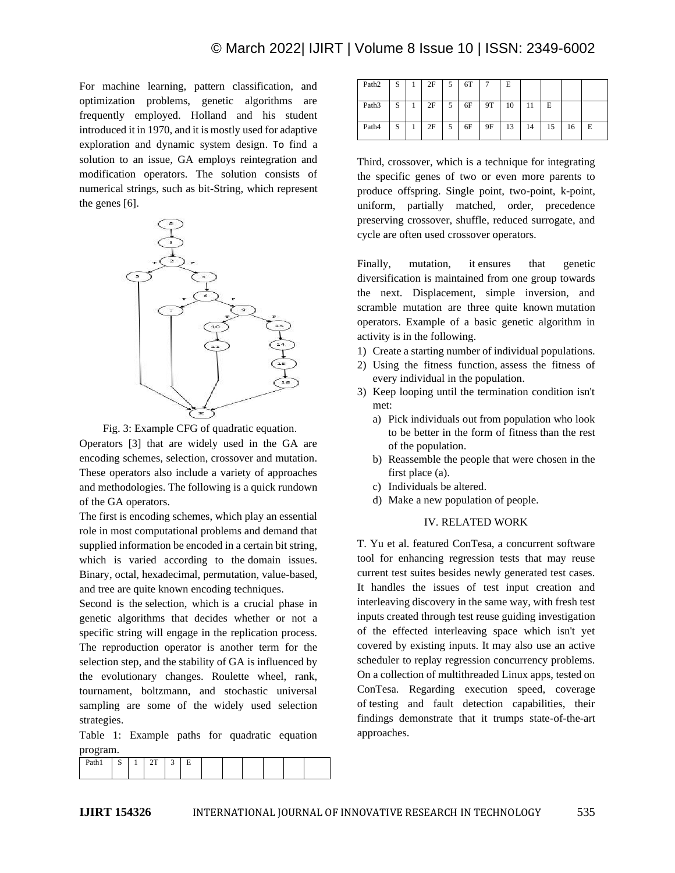# © March 2022| IJIRT | Volume 8 Issue 10 | ISSN: 2349-6002

For machine learning, pattern classification, and optimization problems, genetic algorithms are frequently employed. Holland and his student introduced it in 1970, and it is mostly used for adaptive exploration and dynamic system design. To find a solution to an issue, GA employs reintegration and modification operators. The solution consists of numerical strings, such as bit-String, which represent the genes [6].



Fig. 3: Example CFG of quadratic equation.

Operators [3] that are widely used in the GA are encoding schemes, selection, crossover and mutation. These operators also include a variety of approaches and methodologies. The following is a quick rundown of the GA operators.

The first is encoding schemes, which play an essential role in most computational problems and demand that supplied information be encoded in a certain bit string, which is varied according to the domain issues. Binary, octal, hexadecimal, permutation, value-based, and tree are quite known encoding techniques.

Second is the selection, which is a crucial phase in genetic algorithms that decides whether or not a specific string will engage in the replication process. The reproduction operator is another term for the selection step, and the stability of GA is influenced by the evolutionary changes. Roulette wheel, rank, tournament, boltzmann, and stochastic universal sampling are some of the widely used selection strategies.

Table 1: Example paths for quadratic equation program.

|  | $\sim$<br>ີ |  |  |  |  |  |
|--|-------------|--|--|--|--|--|
|  |             |  |  |  |  |  |

| Path <sub>2</sub> | S | 2F | 5 | 6T | $\overline{ }$ | E  |    |    |    |   |
|-------------------|---|----|---|----|----------------|----|----|----|----|---|
| Path <sub>3</sub> | S | 2F | 5 | 6F | 9Τ             | 10 | 11 | E  |    |   |
| Path4             | S | 2F | 5 | 6F | 9Ε             | 13 | 14 | 15 | 16 | E |

Third, crossover, which is a technique for integrating the specific genes of two or even more parents to produce offspring. Single point, two-point, k-point, uniform, partially matched, order, precedence preserving crossover, shuffle, reduced surrogate, and cycle are often used crossover operators.

Finally, mutation, it ensures that genetic diversification is maintained from one group towards the next. Displacement, simple inversion, and scramble mutation are three quite known mutation operators. Example of a basic genetic algorithm in activity is in the following.

- 1) Create a starting number of individual populations.
- 2) Using the fitness function, assess the fitness of every individual in the population.
- 3) Keep looping until the termination condition isn't met:
	- a) Pick individuals out from population who look to be better in the form of fitness than the rest of the population.
	- b) Reassemble the people that were chosen in the first place (a).
	- c) Individuals be altered.
	- d) Make a new population of people.

# IV. RELATED WORK

T. Yu et al. featured ConTesa, a concurrent software tool for enhancing regression tests that may reuse current test suites besides newly generated test cases. It handles the issues of test input creation and interleaving discovery in the same way, with fresh test inputs created through test reuse guiding investigation of the effected interleaving space which isn't yet covered by existing inputs. It may also use an active scheduler to replay regression concurrency problems. On a collection of multithreaded Linux apps, tested on ConTesa. Regarding execution speed, coverage of testing and fault detection capabilities, their findings demonstrate that it trumps state-of-the-art approaches.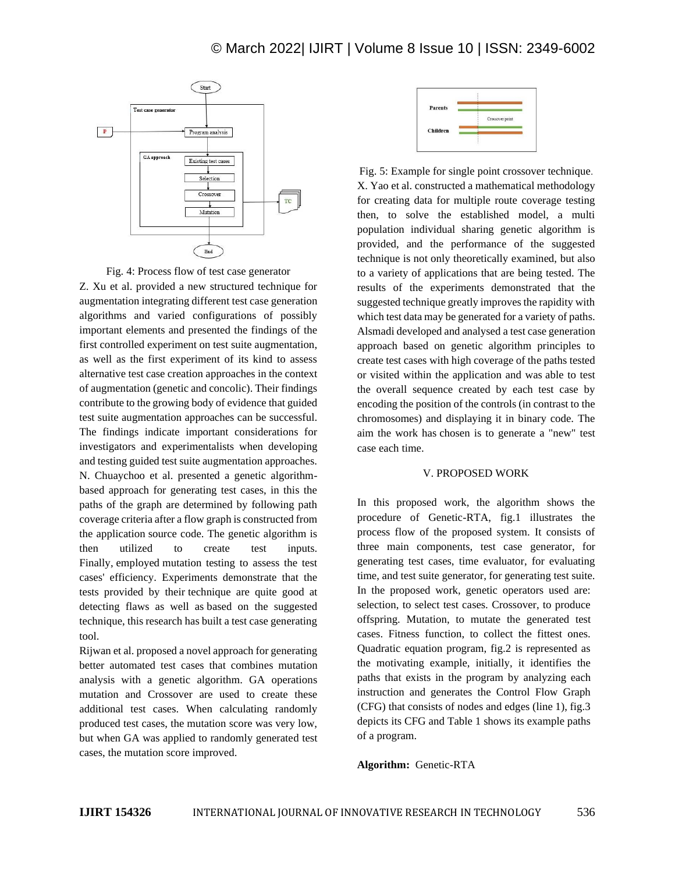



Z. Xu et al. provided a new structured technique for augmentation integrating different test case generation algorithms and varied configurations of possibly important elements and presented the findings of the first controlled experiment on test suite augmentation, as well as the first experiment of its kind to assess alternative test case creation approaches in the context of augmentation (genetic and concolic). Their findings contribute to the growing body of evidence that guided test suite augmentation approaches can be successful. The findings indicate important considerations for investigators and experimentalists when developing and testing guided test suite augmentation approaches. N. Chuaychoo et al. presented a genetic algorithmbased approach for generating test cases, in this the paths of the graph are determined by following path coverage criteria after a flow graph is constructed from the application source code. The genetic algorithm is then utilized to create test inputs. Finally, employed mutation testing to assess the test cases' efficiency. Experiments demonstrate that the tests provided by their technique are quite good at detecting flaws as well as based on the suggested technique, this research has built a test case generating tool.

Rijwan et al. proposed a novel approach for generating better automated test cases that combines mutation analysis with a genetic algorithm. GA operations mutation and Crossover are used to create these additional test cases. When calculating randomly produced test cases, the mutation score was very low, but when GA was applied to randomly generated test cases, the mutation score improved.



Fig. 5: Example for single point crossover technique. X. Yao et al. constructed a mathematical methodology for creating data for multiple route coverage testing then, to solve the established model, a multi population individual sharing genetic algorithm is provided, and the performance of the suggested technique is not only theoretically examined, but also to a variety of applications that are being tested. The results of the experiments demonstrated that the suggested technique greatly improves the rapidity with which test data may be generated for a variety of paths. Alsmadi developed and analysed a test case generation approach based on genetic algorithm principles to create test cases with high coverage of the paths tested or visited within the application and was able to test the overall sequence created by each test case by encoding the position of the controls (in contrast to the chromosomes) and displaying it in binary code. The aim the work has chosen is to generate a "new" test case each time.

#### V. PROPOSED WORK

In this proposed work, the algorithm shows the procedure of Genetic-RTA, fig.1 illustrates the process flow of the proposed system. It consists of three main components, test case generator, for generating test cases, time evaluator, for evaluating time, and test suite generator, for generating test suite. In the proposed work, genetic operators used are: selection, to select test cases. Crossover, to produce offspring. Mutation, to mutate the generated test cases. Fitness function, to collect the fittest ones. Quadratic equation program, fig.2 is represented as the motivating example, initially, it identifies the paths that exists in the program by analyzing each instruction and generates the Control Flow Graph (CFG) that consists of nodes and edges (line 1), fig.3 depicts its CFG and Table 1 shows its example paths of a program.

#### **Algorithm:** Genetic-RTA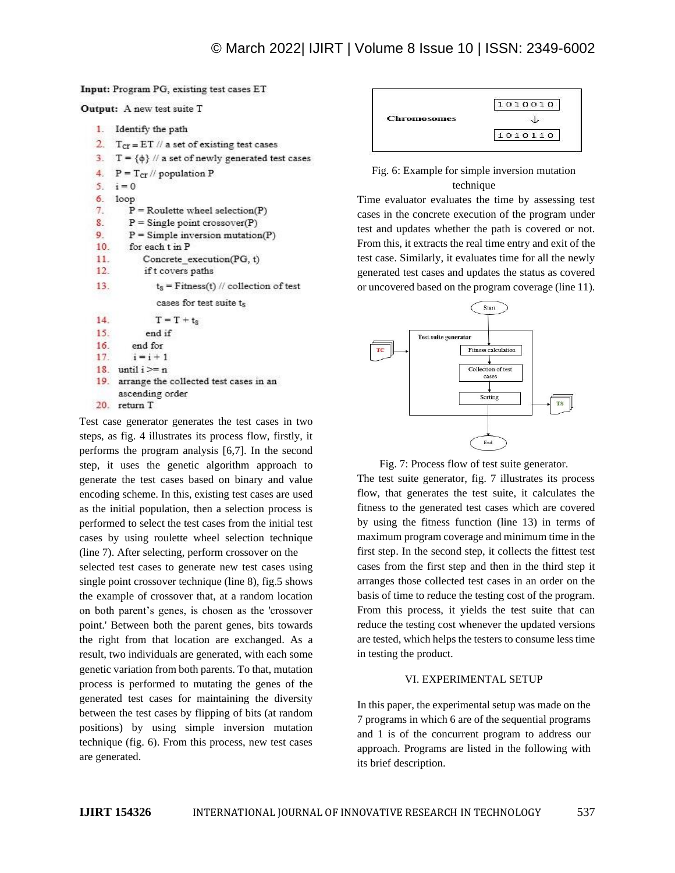Input: Program PG, existing test cases ET

Output: A new test suite T

| $1$ .           | Identify the path                                      |
|-----------------|--------------------------------------------------------|
|                 | 2. $T_{cr} = ET \# a set of existing test cases$       |
|                 | 3. $T = {\phi}$ // a set of newly generated test cases |
|                 | 4. $P = T_{cr}$ // population P                        |
|                 | $5 \t i = 0$                                           |
|                 | 6. loop                                                |
| $\tau$ .        | $P =$ Roulette wheel selection(P)                      |
| 8 <sub>1</sub>  | $P =$ Single point crossover(P)                        |
| 9.              | $P =$ Simple inversion mutation(P)                     |
|                 | 10. for each t in P                                    |
| 11.             | Concrete execution(PG, t)                              |
| 12.             | if t covers paths                                      |
| 13.             | $t_s$ = Fitness(t) // collection of test               |
|                 | cases for test suite $t_{\rm s}$                       |
| 14              | $T = T + t_s$                                          |
| 15.             | end if                                                 |
| 16 <sub>1</sub> | end for                                                |
| 17.             | $i = i + 1$                                            |
|                 | 18. until $i \ge n$                                    |
|                 | 19. arrange the collected test cases in an             |
|                 | ascending order                                        |
| 20.             | return T                                               |

Test case generator generates the test cases in two steps, as fig. 4 illustrates its process flow, firstly, it performs the program analysis [6,7]. In the second step, it uses the genetic algorithm approach to generate the test cases based on binary and value encoding scheme. In this, existing test cases are used as the initial population, then a selection process is performed to select the test cases from the initial test cases by using roulette wheel selection technique (line 7). After selecting, perform crossover on the

selected test cases to generate new test cases using single point crossover technique (line 8), fig.5 shows the example of crossover that, at a random location on both parent's genes, is chosen as the 'crossover point.' Between both the parent genes, bits towards the right from that location are exchanged. As a result, two individuals are generated, with each some genetic variation from both parents. To that, mutation process is performed to mutating the genes of the generated test cases for maintaining the diversity between the test cases by flipping of bits (at random positions) by using simple inversion mutation technique (fig. 6). From this process, new test cases are generated.

|                    | 1010010 |
|--------------------|---------|
| <b>Chromosomes</b> |         |
|                    | 1010110 |

| Fig. 6: Example for simple inversion mutation |  |
|-----------------------------------------------|--|
| technique                                     |  |

Time evaluator evaluates the time by assessing test cases in the concrete execution of the program under test and updates whether the path is covered or not. From this, it extracts the real time entry and exit of the test case. Similarly, it evaluates time for all the newly generated test cases and updates the status as covered or uncovered based on the program coverage (line 11).



Fig. 7: Process flow of test suite generator.

The test suite generator, fig. 7 illustrates its process flow, that generates the test suite, it calculates the fitness to the generated test cases which are covered by using the fitness function (line 13) in terms of maximum program coverage and minimum time in the first step. In the second step, it collects the fittest test cases from the first step and then in the third step it arranges those collected test cases in an order on the basis of time to reduce the testing cost of the program. From this process, it yields the test suite that can reduce the testing cost whenever the updated versions are tested, which helps the testers to consume less time in testing the product.

#### VI. EXPERIMENTAL SETUP

In this paper, the experimental setup was made on the 7 programs in which 6 are of the sequential programs and 1 is of the concurrent program to address our approach. Programs are listed in the following with its brief description.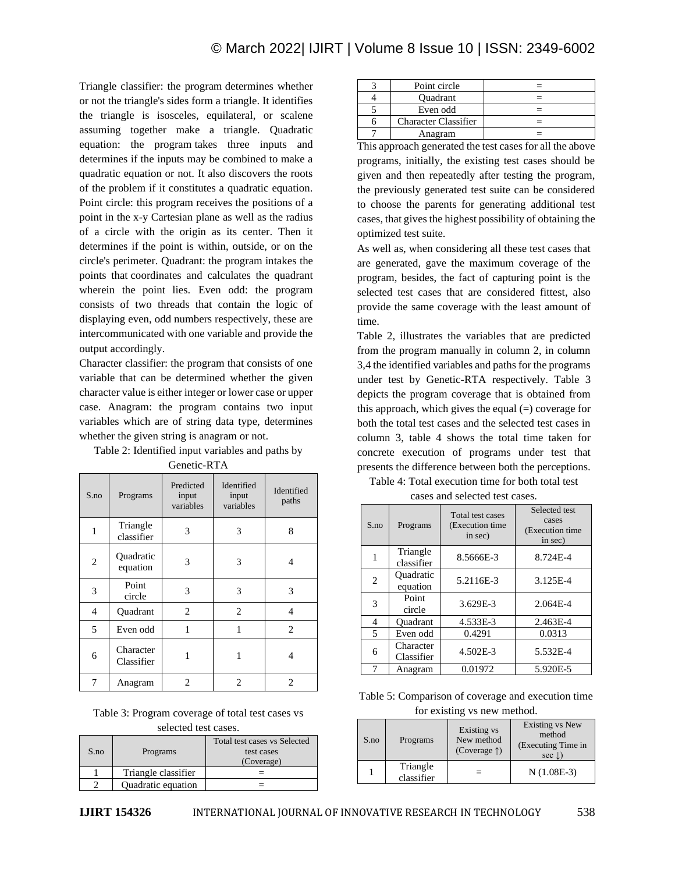Triangle classifier: the program determines whether or not the triangle's sides form a triangle. It identifies the triangle is isosceles, equilateral, or scalene assuming together make a triangle. Quadratic equation: the program takes three inputs and determines if the inputs may be combined to make a quadratic equation or not. It also discovers the roots of the problem if it constitutes a quadratic equation. Point circle: this program receives the positions of a point in the x-y Cartesian plane as well as the radius of a circle with the origin as its center. Then it determines if the point is within, outside, or on the circle's perimeter. Quadrant: the program intakes the points that coordinates and calculates the quadrant wherein the point lies. Even odd: the program consists of two threads that contain the logic of displaying even, odd numbers respectively, these are intercommunicated with one variable and provide the output accordingly.

Character classifier: the program that consists of one variable that can be determined whether the given character value is either integer or lower case or upper case. Anagram: the program contains two input variables which are of string data type, determines whether the given string is anagram or not.

Table 2: Identified input variables and paths by

| S.no           | Programs                | Predicted<br>input<br>variables | Identified<br>input<br>variables | Identified<br>paths |
|----------------|-------------------------|---------------------------------|----------------------------------|---------------------|
| 1              | Triangle<br>classifier  | 3                               | 3                                | 8                   |
| $\overline{c}$ | Quadratic<br>equation   | 3                               | 3                                | 4                   |
| 3              | Point<br>circle         | 3                               | 3                                | 3                   |
| 4              | Quadrant                | 2                               | 2                                | 4                   |
| 5              | Even odd                | 1                               | 1                                | 2                   |
| 6              | Character<br>Classifier |                                 |                                  | 4                   |
| 7              | Anagram                 | 2                               | 2                                | $\overline{c}$      |

Table 3: Program coverage of total test cases vs selected test cases.

| S.no | Programs            | Total test cases vs Selected<br>test cases<br>(Coverage) |
|------|---------------------|----------------------------------------------------------|
|      | Triangle classifier |                                                          |
|      | Quadratic equation  |                                                          |

| Point circle                |  |
|-----------------------------|--|
| <b>Ouadrant</b>             |  |
| Even odd                    |  |
| <b>Character Classifier</b> |  |
| Anagram                     |  |

This approach generated the test cases for all the above programs, initially, the existing test cases should be given and then repeatedly after testing the program, the previously generated test suite can be considered to choose the parents for generating additional test cases, that gives the highest possibility of obtaining the optimized test suite.

As well as, when considering all these test cases that are generated, gave the maximum coverage of the program, besides, the fact of capturing point is the selected test cases that are considered fittest, also provide the same coverage with the least amount of time.

Table 2, illustrates the variables that are predicted from the program manually in column 2, in column 3,4 the identified variables and paths for the programs under test by Genetic-RTA respectively. Table 3 depicts the program coverage that is obtained from this approach, which gives the equal  $(=)$  coverage for both the total test cases and the selected test cases in column 3, table 4 shows the total time taken for concrete execution of programs under test that presents the difference between both the perceptions. Table 4: Total execution time for both total test

| S.no           | Programs                | Total test cases<br>(Execution time)<br>in sec) | Selected test<br>cases<br>(Execution time<br>in sec) |  |  |
|----------------|-------------------------|-------------------------------------------------|------------------------------------------------------|--|--|
|                | Triangle<br>classifier  | 8.5666E-3                                       | 8.724E-4                                             |  |  |
| $\overline{c}$ | Ouadratic<br>equation   | 5.2116E-3                                       | 3.125E-4                                             |  |  |
| 3              | Point<br>circle         | 3.629E-3                                        | 2.064E-4                                             |  |  |
| 4              | Ouadrant                | 4.533E-3                                        | 2.463E-4                                             |  |  |
| $\overline{5}$ | Even odd                | 0.4291                                          | 0.0313                                               |  |  |
| 6              | Character<br>Classifier | 4.502E-3                                        | 5.532E-4                                             |  |  |
|                | Anagram                 | 0.01972                                         | 5.920E-5                                             |  |  |

cases and selected test cases.

Table 5: Comparison of coverage and execution time for existing vs new method.

| S.no | Programs               | Existing vs<br>New method<br>(Coverage $\uparrow$ ) | Existing vs New<br>method<br>(Executing Time in<br>sec $\perp$ |  |  |  |
|------|------------------------|-----------------------------------------------------|----------------------------------------------------------------|--|--|--|
|      | Triangle<br>classifier |                                                     | $N(1.08E-3)$                                                   |  |  |  |